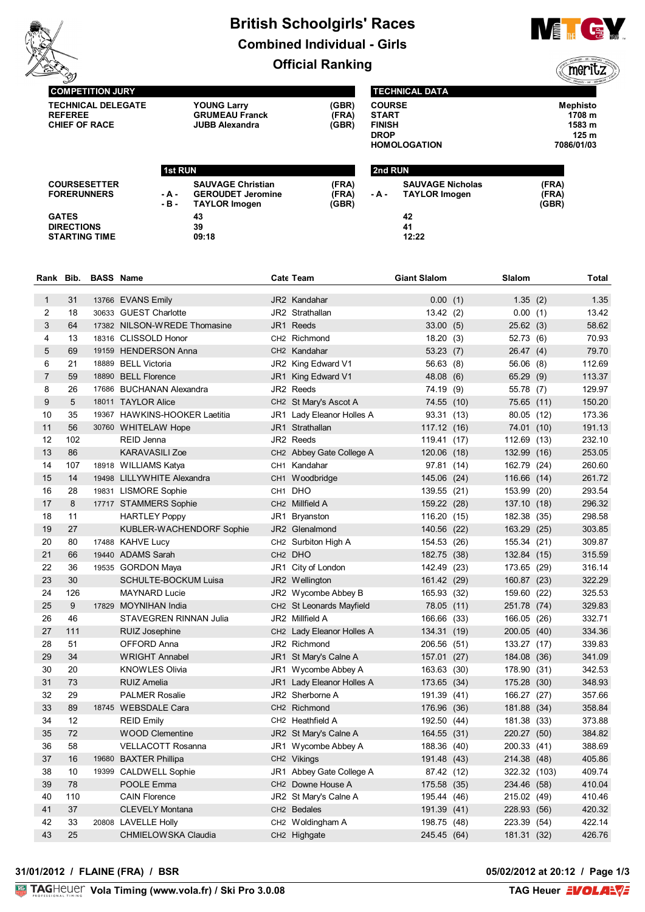

# **British Schoolgirls' Races Combined Individual - Girls Official Ranking**



**1st RUN 2nd RUN**

**SAUVAGE Christian (FRA) - A - GEROUDET Jeromine (FRA)** ((meritz

**(GBR)**

**COURSE Mephisto START 1708 m FINISH 1583 m DROP 125 m HOMOLOGATION 7086/01/03**

**COMPETITION JURY TECHNICAL DELEGATE YOUNG Larry (GBR) REFEREE GRUMEAU Franck (FRA)**

**CHIEF OF RACE JUBB Alexandra (GBR)**

 $TAYLOR$  *Imogen* 

| <b>COURSE</b>       |  |
|---------------------|--|
| <b>START</b>        |  |
| <b>FINISH</b>       |  |
| <b>DROP</b>         |  |
| <b>HOMOLOGATION</b> |  |

**- A - TAYLOR Imogen (FRA)**

**SAUVAGE Nicholas (FRA)**

**COURSESETTER FORERUNNERS**

**GATES 43 42 DIRECTIONS 39 41 STARTING TIME** 

| Rank Bib. |     | <b>BASS Name</b> |                               |      | <b>Cate Team</b>                     | <b>Giant Slalom</b> | Slalom         |              | Total  |
|-----------|-----|------------------|-------------------------------|------|--------------------------------------|---------------------|----------------|--------------|--------|
| 1         | 31  |                  | 13766 EVANS Emily             |      | JR2 Kandahar                         | 0.00(1)             |                | 1.35(2)      | 1.35   |
| 2         | 18  |                  | 30633 GUEST Charlotte         |      | JR2 Strathallan                      | 13.42(2)            |                | 0.00(1)      | 13.42  |
| 3         | 64  |                  | 17382 NILSON-WREDE Thomasine  |      | JR1 Reeds                            | 33.00(5)            |                | 25.62(3)     | 58.62  |
| 4         | 13  |                  | 18316 CLISSOLD Honor          |      | CH <sub>2</sub> Richmond             | 18.20(3)            |                | 52.73(6)     | 70.93  |
| 5         | 69  |                  | 19159 HENDERSON Anna          |      | CH2 Kandahar                         | 53.23(7)            |                | 26.47(4)     | 79.70  |
| 6         | 21  |                  | 18889 BELL Victoria           |      | JR2 King Edward V1                   | 56.63 (8)           |                | 56.06(8)     | 112.69 |
| 7         | 59  |                  | 18890 BELL Florence           |      | JR1 King Edward V1                   | 48.08 (6)           |                | 65.29(9)     | 113.37 |
| 8         | 26  |                  | 17686 BUCHANAN Alexandra      |      | JR2 Reeds                            | 74.19 (9)           |                | 55.78 (7)    | 129.97 |
| 9         | 5   |                  | 18011 TAYLOR Alice            |      | CH <sub>2</sub> St Mary's Ascot A    | 74.55 (10)          |                | 75.65 (11)   | 150.20 |
| 10        | 35  |                  | 19367 HAWKINS-HOOKER Laetitia |      | JR1 Lady Eleanor Holles A            | 93.31 (13)          |                | 80.05 (12)   | 173.36 |
| 11        | 56  |                  | 30760 WHITELAW Hope           |      | JR1 Strathallan                      | 117.12 (16)         |                | 74.01 (10)   | 191.13 |
| 12        | 102 |                  | REID Jenna                    |      | JR2 Reeds                            | 119.41 (17)         |                | 112.69 (13)  | 232.10 |
| 13        | 86  |                  | <b>KARAVASILI Zoe</b>         |      | CH2 Abbey Gate College A             | 120.06 (18)         | 132.99         | (16)         | 253.05 |
| 14        | 107 |                  | 18918 WILLIAMS Katya          |      | CH1 Kandahar                         | 97.81 (14)          | 162.79         | (24)         | 260.60 |
| 15        | 14  |                  | 19498 LILLYWHITE Alexandra    |      | CH1 Woodbridge                       | 145.06 (24)         |                | 116.66 (14)  | 261.72 |
| 16        | 28  |                  | 19831 LISMORE Sophie          |      | CH1 DHO                              | 139.55 (21)         | 153.99         | (20)         | 293.54 |
| 17        | 8   |                  | 17717 STAMMERS Sophie         |      | CH <sub>2</sub> Millfield A          | 159.22 (28)         |                | 137.10 (18)  | 296.32 |
| 18        | 11  |                  | <b>HARTLEY Poppy</b>          | JR1. | <b>Bryanston</b>                     | 116.20 (15)         |                | 182.38 (35)  | 298.58 |
| 19        | 27  |                  | KUBLER-WACHENDORF Sophie      |      | JR2 Glenalmond                       | 140.56 (22)         |                | 163.29 (25)  | 303.85 |
| 20        | 80  |                  | 17488 KAHVE Lucy              |      | CH2 Surbiton High A                  | 154.53 (26)         |                | 155.34 (21)  | 309.87 |
| 21        | 66  |                  | 19440 ADAMS Sarah             |      | CH <sub>2</sub> DHO                  | 182.75 (38)         |                | 132.84 (15)  | 315.59 |
| 22        | 36  |                  | 19535 GORDON Maya             |      | JR1 City of London                   | 142.49 (23)         |                | 173.65 (29)  | 316.14 |
| 23        | 30  |                  | SCHULTE-BOCKUM Luisa          |      | JR2 Wellington                       | 161.42 (29)         |                | 160.87 (23)  | 322.29 |
| 24        | 126 |                  | <b>MAYNARD Lucie</b>          |      | JR2 Wycombe Abbey B                  | 165.93 (32)         | 159.60         | (22)         | 325.53 |
| 25        | 9   |                  | 17829 MOYNIHAN India          |      | CH <sub>2</sub> St Leonards Mayfield | 78.05 (11)          | 251.78         | (74)         | 329.83 |
| 26        | 46  |                  | STAVEGREN RINNAN Julia        |      | JR2 Millfield A                      | 166.66 (33)         | 166.05         | (26)         | 332.71 |
| 27        | 111 |                  | RUIZ Josephine                |      | CH2 Lady Eleanor Holles A            | 134.31 (19)         |                | 200.05 (40)  | 334.36 |
| 28        | 51  |                  | OFFORD Anna                   |      | JR2 Richmond                         | 206.56 (51)         |                | 133.27 (17)  | 339.83 |
| 29        | 34  |                  | <b>WRIGHT Annabel</b>         |      | JR1 St Mary's Calne A                | 157.01              | 184.08<br>(27) | (36)         | 341.09 |
| 30        | 20  |                  | <b>KNOWLES Olivia</b>         |      | JR1 Wycombe Abbey A                  | 163.63              | 178.90<br>(30) | (31)         | 342.53 |
| 31        | 73  |                  | <b>RUIZ Amelia</b>            |      | JR1 Lady Eleanor Holles A            | 173.65 (34)         |                | 175.28 (30)  | 348.93 |
| 32        | 29  |                  | <b>PALMER Rosalie</b>         |      | JR2 Sherborne A                      | 191.39 (41)         |                | 166.27 (27)  | 357.66 |
| 33        | 89  |                  | 18745 WEBSDALE Cara           |      | CH <sub>2</sub> Richmond             | 176.96 (36)         |                | 181.88 (34)  | 358.84 |
| 34        | 12  |                  | <b>REID Emily</b>             |      | CH2 Heathfield A                     | 192.50 (44)         |                | 181.38 (33)  | 373.88 |
| 35        | 72  |                  | <b>WOOD Clementine</b>        |      | JR2 St Mary's Calne A                | 164.55 (31)         |                | 220.27 (50)  | 384.82 |
| 36        | 58  |                  | <b>VELLACOTT Rosanna</b>      |      | JR1 Wycombe Abbey A                  | 188.36 (40)         |                | 200.33 (41)  | 388.69 |
| 37        | 16  |                  | 19680 BAXTER Phillipa         |      | CH2 Vikings                          | 191.48 (43)         |                | 214.38 (48)  | 405.86 |
| 38        | 10  | 19399            | <b>CALDWELL Sophie</b>        |      | JR1 Abbey Gate College A             | 87.42 (12)          |                | 322.32 (103) | 409.74 |
| 39        | 78  |                  | POOLE Emma                    |      | CH2 Downe House A                    | 175.58 (35)         |                | 234.46 (58)  | 410.04 |
| 40        | 110 |                  | <b>CAIN Florence</b>          |      | JR2 St Mary's Calne A                | 195.44 (46)         |                | 215.02 (49)  | 410.46 |
| 41        | 37  |                  | <b>CLEVELY Montana</b>        |      | CH2 Bedales                          | 191.39 (41)         |                | 228.93 (56)  | 420.32 |
| 42        | 33  |                  | 20808 LAVELLE Holly           |      | CH2 Woldingham A                     | 198.75 (48)         |                | 223.39 (54)  | 422.14 |
| 43        | 25  |                  | CHMIELOWSKA Claudia           |      | CH2 Highgate                         | 245.45 (64)         |                | 181.31 (32)  | 426.76 |

### **31/01/2012 / FLAINE (FRA) / BSR 05/02/2012 at 20:12 / Page 1/3**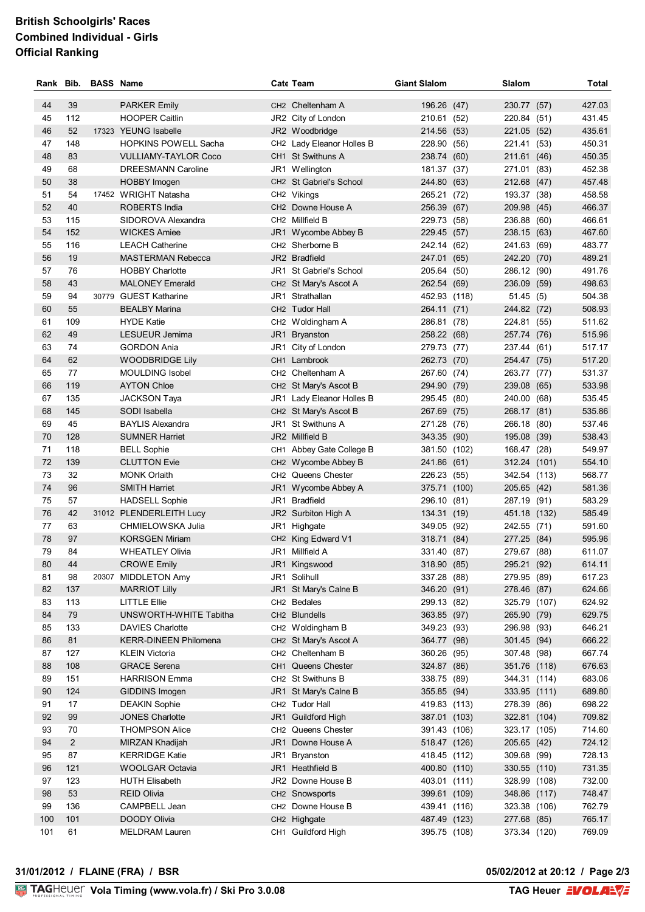## **British Schoolgirls' Races Combined Individual - Girls Official Ranking**

|          |                | Rank Bib. BASS Name |                                            |     | <b>Cate Team</b>                                           | <b>Giant Slalom</b>        | Slalom                     | Total            |
|----------|----------------|---------------------|--------------------------------------------|-----|------------------------------------------------------------|----------------------------|----------------------------|------------------|
| 44       | 39             |                     | <b>PARKER Emily</b>                        |     | CH <sub>2</sub> Cheltenham A                               | 196.26 (47)                | 230.77 (57)                | 427.03           |
| 45       | 112            |                     | <b>HOOPER Caitlin</b>                      |     | JR2 City of London                                         | 210.61 (52)                | 220.84 (51)                | 431.45           |
| 46       | 52             |                     | 17323 YEUNG Isabelle                       |     | JR2 Woodbridge                                             | 214.56 (53)                | 221.05 (52)                | 435.61           |
| 47       | 148            |                     | <b>HOPKINS POWELL Sacha</b>                |     | CH2 Lady Eleanor Holles B                                  | 228.90 (56)                | 221.41 (53)                | 450.31           |
| 48       | 83             |                     | <b>VULLIAMY-TAYLOR Coco</b>                |     | CH1 St Swithuns A                                          | 238.74 (60)                | 211.61 (46)                | 450.35           |
| 49       | 68             |                     | <b>DREESMANN Caroline</b>                  |     | JR1 Wellington                                             | 181.37 (37)                | 271.01 (83)                | 452.38           |
| 50       | 38             |                     | <b>HOBBY Imogen</b>                        |     | CH <sub>2</sub> St Gabriel's School                        | 244.80 (63)                | 212.68 (47)                | 457.48           |
| 51       | 54             |                     | 17452 WRIGHT Natasha                       |     | CH2 Vikings                                                | 265.21 (72)                | 193.37 (38)                | 458.58           |
| 52       | 40             |                     | ROBERTS India                              |     | CH <sub>2</sub> Downe House A                              | 256.39 (67)                | 209.98 (45)                | 466.37           |
| 53       | 115            |                     | SIDOROVA Alexandra                         |     | CH <sub>2</sub> Millfield B                                | 229.73 (58)                | 236.88 (60)                | 466.61           |
| 54       | 152            |                     | <b>WICKES Amiee</b>                        |     | JR1 Wycombe Abbey B                                        | 229.45 (57)                | 238.15 (63)                | 467.60           |
| 55       | 116            |                     | <b>LEACH Catherine</b>                     |     | CH <sub>2</sub> Sherborne B                                | 242.14 (62)                | 241.63 (69)                | 483.77           |
| 56       | 19             |                     | <b>MASTERMAN Rebecca</b>                   |     | JR2 Bradfield                                              | 247.01 (65)                | 242.20 (70)                | 489.21           |
| 57       | 76             |                     | <b>HOBBY Charlotte</b>                     |     | JR1 St Gabriel's School                                    | 205.64 (50)                | 286.12 (90)                | 491.76           |
| 58       | 43             |                     | <b>MALONEY Emerald</b>                     |     | CH2 St Mary's Ascot A                                      | 262.54 (69)                | 236.09 (59)                | 498.63           |
| 59       | 94             |                     | 30779 GUEST Katharine                      |     | JR1 Strathallan                                            | 452.93 (118)               | 51.45(5)                   | 504.38           |
| 60       | 55             |                     | <b>BEALBY Marina</b>                       |     | CH <sub>2</sub> Tudor Hall                                 | 264.11 (71)                | 244.82 (72)                | 508.93           |
| 61       | 109            |                     | <b>HYDE Katie</b>                          |     | CH2 Woldingham A                                           | 286.81 (78)                | 224.81 (55)                | 511.62           |
| 62       | 49             |                     | LESUEUR Jemima                             | JR1 | <b>Bryanston</b>                                           | 258.22 (68)                | 257.74 (76)                | 515.96           |
| 63       | 74             |                     | <b>GORDON Ania</b>                         |     | JR1 City of London                                         | 279.73 (77)                | 237.44 (61)                | 517.17           |
| 64       | 62             |                     | <b>WOODBRIDGE Lily</b>                     |     | CH1 Lambrook                                               | 262.73 (70)                | 254.47 (75)                | 517.20           |
| 65       | 77             |                     | <b>MOULDING Isobel</b>                     |     | CH2 Cheltenham A                                           | 267.60 (74)                | 263.77 (77)                | 531.37           |
| 66       | 119            |                     | <b>AYTON Chloe</b>                         |     | CH <sub>2</sub> St Mary's Ascot B                          | 294.90 (79)                | 239.08 (65)                | 533.98           |
| 67       | 135            |                     | <b>JACKSON Taya</b>                        |     | JR1 Lady Eleanor Holles B                                  | 295.45 (80)                | 240.00 (68)                | 535.45           |
| 68       | 145            |                     | SODI Isabella                              |     | CH <sub>2</sub> St Mary's Ascot B                          | 267.69 (75)                | 268.17 (81)                | 535.86           |
| 69       | 45             |                     | <b>BAYLIS Alexandra</b>                    |     | JR1 St Swithuns A                                          | 271.28 (76)                | 266.18 (80)                | 537.46           |
| 70       | 128            |                     | <b>SUMNER Harriet</b>                      |     | JR2 Millfield B                                            | 343.35 (90)                | 195.08 (39)                | 538.43           |
| 71       | 118            |                     | <b>BELL Sophie</b>                         |     | CH1 Abbey Gate College B                                   | 381.50 (102)               | 168.47 (28)                | 549.97           |
| 72       | 139            |                     | <b>CLUTTON Evie</b>                        |     | CH2 Wycombe Abbey B                                        | 241.86 (61)                | 312.24 (101)               | 554.10           |
| 73       | 32             |                     | <b>MONK Orlaith</b>                        |     | CH2 Queens Chester                                         | 226.23 (55)                | 342.54 (113)               | 568.77           |
| 74       | 96             |                     | <b>SMITH Harriet</b>                       |     | JR1 Wycombe Abbey A                                        | 375.71 (100)               | 205.65 (42)                | 581.36           |
| 75       | 57             |                     | <b>HADSELL Sophie</b>                      |     | JR1 Bradfield                                              | 296.10 (81)                | 287.19 (91)                | 583.29           |
| 76       | 42             |                     | 31012 PLENDERLEITH Lucy                    |     | JR2 Surbiton High A                                        | 134.31 (19)                | 451.18 (132)               | 585.49           |
| 77<br>78 | 63<br>97       |                     | CHMIELOWSKA Julia<br><b>KORSGEN Miriam</b> |     | JR1 Highgate<br>CH <sub>2</sub> King Edward V <sub>1</sub> | 349.05 (92)                | 242.55 (71)<br>277.25 (84) | 591.60<br>595.96 |
| 79       | 84             |                     | <b>WHEATLEY Olivia</b>                     |     | JR1 Millfield A                                            | 318.71 (84)<br>331.40 (87) | 279.67 (88)                | 611.07           |
| 80       | 44             |                     | <b>CROWE Emily</b>                         |     | JR1 Kingswood                                              | 318.90 (85)                | 295.21 (92)                | 614.11           |
| 81       | 98             |                     | 20307 MIDDLETON Amy                        |     | JR1 Solihull                                               | 337.28 (88)                | 279.95 (89)                | 617.23           |
| 82       | 137            |                     | <b>MARRIOT Lilly</b>                       |     | JR1 St Mary's Calne B                                      | 346.20 (91)                | 278.46 (87)                | 624.66           |
| 83       | 113            |                     | <b>LITTLE Ellie</b>                        |     | CH <sub>2</sub> Bedales                                    | 299.13 (82)                | 325.79 (107)               | 624.92           |
| 84       | 79             |                     | UNSWORTH-WHITE Tabitha                     |     | CH2 Blundells                                              | 363.85 (97)                | 265.90 (79)                | 629.75           |
| 85       | 133            |                     | <b>DAVIES Charlotte</b>                    |     | CH2 Woldingham B                                           | 349.23 (93)                | 296.98 (93)                | 646.21           |
| 86       | 81             |                     | <b>KERR-DINEEN Philomena</b>               |     | CH2 St Mary's Ascot A                                      | 364.77 (98)                | 301.45 (94)                | 666.22           |
| 87       | 127            |                     | <b>KLEIN Victoria</b>                      |     | CH2 Cheltenham B                                           | 360.26 (95)                | 307.48 (98)                | 667.74           |
| 88       | 108            |                     | <b>GRACE Serena</b>                        |     | CH1 Queens Chester                                         | 324.87 (86)                | 351.76 (118)               | 676.63           |
| 89       | 151            |                     | <b>HARRISON Emma</b>                       |     | CH2 St Swithuns B                                          | 338.75 (89)                | 344.31 (114)               | 683.06           |
| 90       | 124            |                     | GIDDINS Imogen                             |     | JR1 St Mary's Calne B                                      | 355.85 (94)                | 333.95 (111)               | 689.80           |
| 91       | 17             |                     | <b>DEAKIN Sophie</b>                       |     | CH2 Tudor Hall                                             | 419.83 (113)               | 278.39 (86)                | 698.22           |
| 92       | 99             |                     | <b>JONES Charlotte</b>                     |     | JR1 Guildford High                                         | 387.01 (103)               | 322.81 (104)               | 709.82           |
| 93       | 70             |                     | <b>THOMPSON Alice</b>                      |     | CH2 Queens Chester                                         | 391.43 (106)               | 323.17 (105)               | 714.60           |
| 94       | $\overline{2}$ |                     | MIRZAN Khadijah                            |     | JR1 Downe House A                                          | 518.47 (126)               | 205.65 (42)                | 724.12           |
| 95       | 87             |                     | <b>KERRIDGE Katie</b>                      |     | JR1 Bryanston                                              | 418.45 (112)               | 309.68 (99)                | 728.13           |
| 96       | 121            |                     | WOOLGAR Octavia                            |     | JR1 Heathfield B                                           | 400.80 (110)               | 330.55 (110)               | 731.35           |
| 97       | 123            |                     | <b>HUTH Elisabeth</b>                      |     | JR2 Downe House B                                          | 403.01 (111)               | 328.99 (108)               | 732.00           |
| 98       | 53             |                     | <b>REID Olivia</b>                         |     | CH2 Snowsports                                             | 399.61 (109)               | 348.86 (117)               | 748.47           |
| 99       | 136            |                     | CAMPBELL Jean                              |     | CH2 Downe House B                                          | 439.41 (116)               | 323.38 (106)               | 762.79           |
| 100      | 101            |                     | <b>DOODY Olivia</b>                        |     | CH2 Highgate                                               | 487.49 (123)               | 277.68 (85)                | 765.17           |
| 101      | 61             |                     | <b>MELDRAM Lauren</b>                      |     | CH1 Guildford High                                         | 395.75 (108)               | 373.34 (120)               | 769.09           |

**05/02/2012 at 20:12 / Page 2/3<br>TAG Heuer EVOLANE**